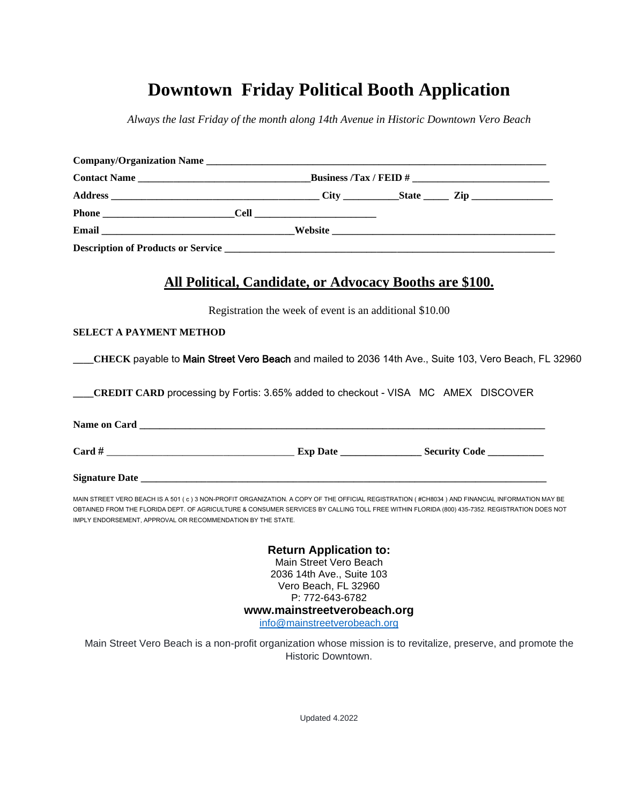## **Downtown Friday Political Booth Application**

*Always the last Friday of the month along 14th Avenue in Historic Downtown Vero Beach*

| Email Nebsite Nebsite News Assembly Department of the Contract of the Contract of the Contract of the Contract of the Contract of the Contract of the Contract of the Contract of the Contract of the Contract of the Contract                                                                                                                                 |                                                         |                                         |  |  |
|----------------------------------------------------------------------------------------------------------------------------------------------------------------------------------------------------------------------------------------------------------------------------------------------------------------------------------------------------------------|---------------------------------------------------------|-----------------------------------------|--|--|
| Description of Products or Service                                                                                                                                                                                                                                                                                                                             |                                                         |                                         |  |  |
|                                                                                                                                                                                                                                                                                                                                                                | All Political, Candidate, or Advocacy Booths are \$100. |                                         |  |  |
|                                                                                                                                                                                                                                                                                                                                                                | Registration the week of event is an additional \$10.00 |                                         |  |  |
| <b>SELECT A PAYMENT METHOD</b>                                                                                                                                                                                                                                                                                                                                 |                                                         |                                         |  |  |
| CHECK payable to Main Street Vero Beach and mailed to 2036 14th Ave., Suite 103, Vero Beach, FL 32960                                                                                                                                                                                                                                                          |                                                         |                                         |  |  |
|                                                                                                                                                                                                                                                                                                                                                                |                                                         |                                         |  |  |
| <b>CREDIT CARD processing by Fortis: 3.65% added to checkout - VISA MC AMEX DISCOVER</b>                                                                                                                                                                                                                                                                       |                                                         |                                         |  |  |
|                                                                                                                                                                                                                                                                                                                                                                |                                                         |                                         |  |  |
|                                                                                                                                                                                                                                                                                                                                                                |                                                         |                                         |  |  |
|                                                                                                                                                                                                                                                                                                                                                                |                                                         |                                         |  |  |
|                                                                                                                                                                                                                                                                                                                                                                |                                                         |                                         |  |  |
|                                                                                                                                                                                                                                                                                                                                                                |                                                         |                                         |  |  |
| MAIN STREET VERO BEACH IS A 501 ( c ) 3 NON-PROFIT ORGANIZATION. A COPY OF THE OFFICIAL REGISTRATION (#CH8034) AND FINANCIAL INFORMATION MAY BE<br>OBTAINED FROM THE FLORIDA DEPT. OF AGRICULTURE & CONSUMER SERVICES BY CALLING TOLL FREE WITHIN FLORIDA (800) 435-7352. REGISTRATION DOES NOT<br>IMPLY ENDORSEMENT. APPROVAL OR RECOMMENDATION BY THE STATE. |                                                         |                                         |  |  |
|                                                                                                                                                                                                                                                                                                                                                                |                                                         |                                         |  |  |
|                                                                                                                                                                                                                                                                                                                                                                |                                                         | <b>Return Application to:</b>           |  |  |
|                                                                                                                                                                                                                                                                                                                                                                |                                                         | Main Street Vero Beach                  |  |  |
|                                                                                                                                                                                                                                                                                                                                                                |                                                         | 2036 14th Ave., Suite 103               |  |  |
|                                                                                                                                                                                                                                                                                                                                                                |                                                         | Vero Beach, FL 32960<br>P: 772-643-6782 |  |  |
|                                                                                                                                                                                                                                                                                                                                                                |                                                         | www.mainstreetverobeach.org             |  |  |
|                                                                                                                                                                                                                                                                                                                                                                |                                                         | info@mainstreetverobeach.org            |  |  |

Updated 4.2022

Historic Downtown.